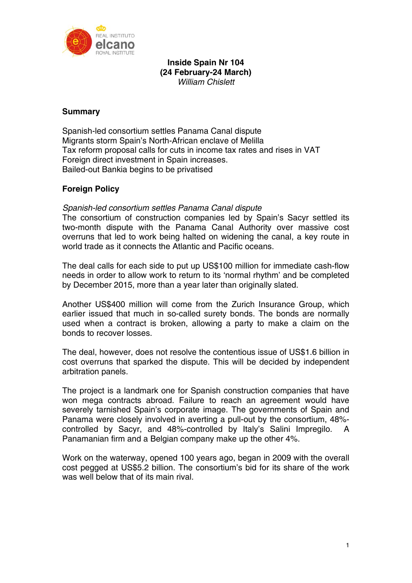

# **Inside Spain Nr 104 (24 February-24 March)**  *William Chislett*

# **Summary**

Spanish-led consortium settles Panama Canal dispute Migrants storm Spain's North-African enclave of Melilla Tax reform proposal calls for cuts in income tax rates and rises in VAT Foreign direct investment in Spain increases. Bailed-out Bankia begins to be privatised

# **Foreign Policy**

# *Spanish-led consortium settles Panama Canal dispute*

The consortium of construction companies led by Spain's Sacyr settled its two-month dispute with the Panama Canal Authority over massive cost overruns that led to work being halted on widening the canal, a key route in world trade as it connects the Atlantic and Pacific oceans.

The deal calls for each side to put up US\$100 million for immediate cash-flow needs in order to allow work to return to its 'normal rhythm' and be completed by December 2015, more than a year later than originally slated.

Another US\$400 million will come from the Zurich Insurance Group, which earlier issued that much in so-called surety bonds. The bonds are normally used when a contract is broken, allowing a party to make a claim on the bonds to recover losses.

The deal, however, does not resolve the contentious issue of US\$1.6 billion in cost overruns that sparked the dispute. This will be decided by independent arbitration panels.

The project is a landmark one for Spanish construction companies that have won mega contracts abroad. Failure to reach an agreement would have severely tarnished Spain's corporate image. The governments of Spain and Panama were closely involved in averting a pull-out by the consortium, 48% controlled by Sacyr, and 48%-controlled by Italy's Salini Impregilo. A Panamanian firm and a Belgian company make up the other 4%.

Work on the waterway, opened 100 years ago, began in 2009 with the overall cost pegged at US\$5.2 billion. The consortium's bid for its share of the work was well below that of its main rival.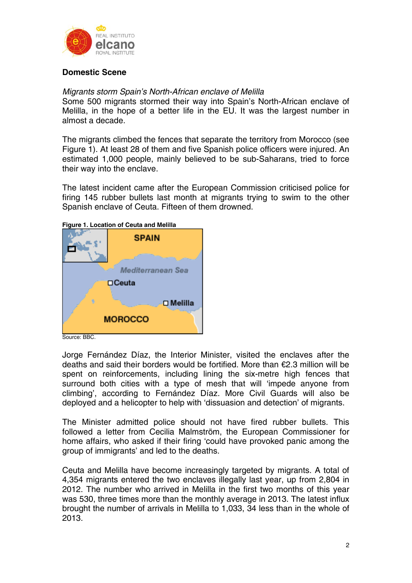

# **Domestic Scene**

*Migrants storm Spain's North-African enclave of Melilla* 

Some 500 migrants stormed their way into Spain's North-African enclave of Melilla, in the hope of a better life in the EU. It was the largest number in almost a decade.

The migrants climbed the fences that separate the territory from Morocco (see Figure 1). At least 28 of them and five Spanish police officers were injured. An estimated 1,000 people, mainly believed to be sub-Saharans, tried to force their way into the enclave.

The latest incident came after the European Commission criticised police for firing 145 rubber bullets last month at migrants trying to swim to the other Spanish enclave of Ceuta. Fifteen of them drowned.





Source: BBC.

Jorge Fernández Díaz, the Interior Minister, visited the enclaves after the deaths and said their borders would be fortified. More than €2.3 million will be spent on reinforcements, including lining the six-metre high fences that surround both cities with a type of mesh that will 'impede anyone from climbing', according to Fernández Díaz. More Civil Guards will also be deployed and a helicopter to help with 'dissuasion and detection' of migrants.

The Minister admitted police should not have fired rubber bullets. This followed a letter from Cecilia Malmström, the European Commissioner for home affairs, who asked if their firing 'could have provoked panic among the group of immigrants' and led to the deaths.

Ceuta and Melilla have become increasingly targeted by migrants. A total of 4,354 migrants entered the two enclaves illegally last year, up from 2,804 in 2012. The number who arrived in Melilla in the first two months of this year was 530, three times more than the monthly average in 2013. The latest influx brought the number of arrivals in Melilla to 1,033, 34 less than in the whole of 2013.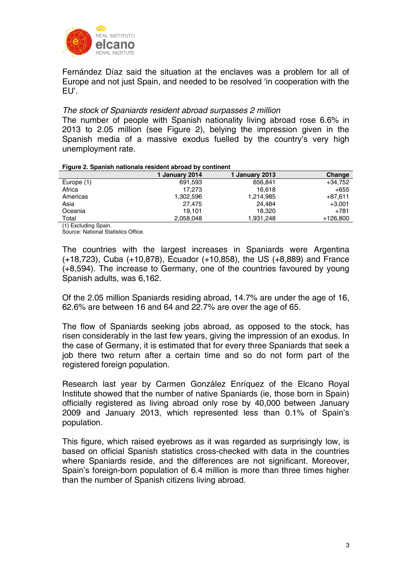

Fernández Díaz said the situation at the enclaves was a problem for all of Europe and not just Spain, and needed to be resolved 'in cooperation with the EU'.

## *The stock of Spaniards resident abroad surpasses 2 million*

The number of people with Spanish nationality living abroad rose 6.6% in 2013 to 2.05 million (see Figure 2), belying the impression given in the Spanish media of a massive exodus fuelled by the country's very high unemployment rate.

### **Figure 2. Spanish nationals resident abroad by continent**

| 1 January 2013<br>1 January 2014   | Change    |
|------------------------------------|-----------|
| Europe (1)<br>691.593<br>656,841   | $+34.752$ |
| Africa<br>16.618<br>17.273         | +655      |
| 1,214,985<br>Americas<br>1,302,596 | +87.611   |
| Asia<br>24.484<br>27.475           | $+3,001$  |
| Oceania<br>19.101<br>18.320        | $+781$    |
| Total<br>1,931,248<br>2,058,048    | +126,800  |

(1) Excluding Spain.

Source: National Statistics Office.

The countries with the largest increases in Spaniards were Argentina (+18,723), Cuba (+10,878), Ecuador (+10,858), the US (+8,889) and France (+8,594). The increase to Germany, one of the countries favoured by young Spanish adults, was 6,162.

Of the 2.05 million Spaniards residing abroad, 14.7% are under the age of 16, 62.6% are between 16 and 64 and 22.7% are over the age of 65.

The flow of Spaniards seeking jobs abroad, as opposed to the stock, has risen considerably in the last few years, giving the impression of an exodus. In the case of Germany, it is estimated that for every three Spaniards that seek a job there two return after a certain time and so do not form part of the registered foreign population.

Research last year by Carmen González Enríquez of the Elcano Royal Institute showed that the number of native Spaniards (ie, those born in Spain) officially registered as living abroad only rose by 40,000 between January 2009 and January 2013, which represented less than 0.1% of Spain's population.

This figure, which raised eyebrows as it was regarded as surprisingly low, is based on official Spanish statistics cross-checked with data in the countries where Spaniards reside, and the differences are not significant. Moreover, Spain's foreign-born population of 6.4 million is more than three times higher than the number of Spanish citizens living abroad.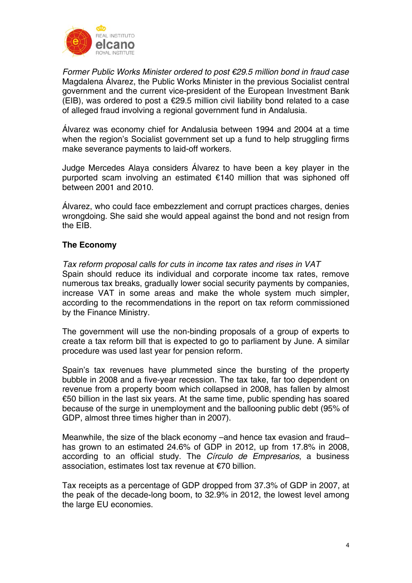

*Former Public Works Minister ordered to post €29.5 million bond in fraud case*  Magdalena Álvarez, the Public Works Minister in the previous Socialist central government and the current vice-president of the European Investment Bank (EIB), was ordered to post a  $\epsilon$ 29.5 million civil liability bond related to a case of alleged fraud involving a regional government fund in Andalusia.

Álvarez was economy chief for Andalusia between 1994 and 2004 at a time when the region's Socialist government set up a fund to help struggling firms make severance payments to laid-off workers.

Judge Mercedes Alaya considers Álvarez to have been a key player in the purported scam involving an estimated €140 million that was siphoned off between 2001 and 2010.

Álvarez, who could face embezzlement and corrupt practices charges, denies wrongdoing. She said she would appeal against the bond and not resign from the EIB.

# **The Economy**

*Tax reform proposal calls for cuts in income tax rates and rises in VAT*  Spain should reduce its individual and corporate income tax rates, remove numerous tax breaks, gradually lower social security payments by companies, increase VAT in some areas and make the whole system much simpler, according to the recommendations in the report on tax reform commissioned by the Finance Ministry.

The government will use the non-binding proposals of a group of experts to create a tax reform bill that is expected to go to parliament by June. A similar procedure was used last year for pension reform.

Spain's tax revenues have plummeted since the bursting of the property bubble in 2008 and a five-year recession. The tax take, far too dependent on revenue from a property boom which collapsed in 2008, has fallen by almost €50 billion in the last six years. At the same time, public spending has soared because of the surge in unemployment and the ballooning public debt (95% of GDP, almost three times higher than in 2007).

Meanwhile, the size of the black economy –and hence tax evasion and fraud– has grown to an estimated 24.6% of GDP in 2012, up from 17.8% in 2008, according to an official study. The *Círculo de Empresarios*, a business association, estimates lost tax revenue at €70 billion.

Tax receipts as a percentage of GDP dropped from 37.3% of GDP in 2007, at the peak of the decade-long boom, to 32.9% in 2012, the lowest level among the large EU economies.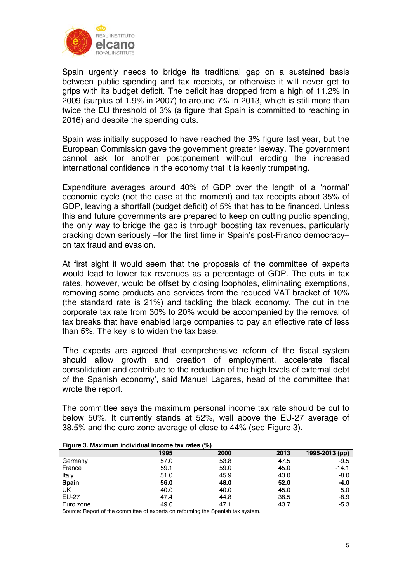

Spain urgently needs to bridge its traditional gap on a sustained basis between public spending and tax receipts, or otherwise it will never get to grips with its budget deficit. The deficit has dropped from a high of 11.2% in 2009 (surplus of 1.9% in 2007) to around 7% in 2013, which is still more than twice the EU threshold of 3% (a figure that Spain is committed to reaching in 2016) and despite the spending cuts.

Spain was initially supposed to have reached the 3% figure last year, but the European Commission gave the government greater leeway. The government cannot ask for another postponement without eroding the increased international confidence in the economy that it is keenly trumpeting.

Expenditure averages around 40% of GDP over the length of a 'normal' economic cycle (not the case at the moment) and tax receipts about 35% of GDP, leaving a shortfall (budget deficit) of 5% that has to be financed. Unless this and future governments are prepared to keep on cutting public spending, the only way to bridge the gap is through boosting tax revenues, particularly cracking down seriously –for the first time in Spain's post-Franco democracy– on tax fraud and evasion.

At first sight it would seem that the proposals of the committee of experts would lead to lower tax revenues as a percentage of GDP. The cuts in tax rates, however, would be offset by closing loopholes, eliminating exemptions, removing some products and services from the reduced VAT bracket of 10% (the standard rate is 21%) and tackling the black economy. The cut in the corporate tax rate from 30% to 20% would be accompanied by the removal of tax breaks that have enabled large companies to pay an effective rate of less than 5%. The key is to widen the tax base.

'The experts are agreed that comprehensive reform of the fiscal system should allow growth and creation of employment, accelerate fiscal consolidation and contribute to the reduction of the high levels of external debt of the Spanish economy', said Manuel Lagares, head of the committee that wrote the report.

The committee says the maximum personal income tax rate should be cut to below 50%. It currently stands at 52%, well above the EU-27 average of 38.5% and the euro zone average of close to 44% (see Figure 3).

| <b>1 Igure 0. Maximum murriaual moonio tax rutoo</b> (70) |      |      |      |                |
|-----------------------------------------------------------|------|------|------|----------------|
|                                                           | 1995 | 2000 | 2013 | 1995-2013 (pp) |
| Germany                                                   | 57.0 | 53.8 | 47.5 | $-9.5$         |
| France                                                    | 59.1 | 59.0 | 45.0 | $-14.1$        |
| Italy                                                     | 51.0 | 45.9 | 43.0 | $-8.0$         |
| <b>Spain</b>                                              | 56.0 | 48.0 | 52.0 | $-4.0$         |
| UK                                                        | 40.0 | 40.0 | 45.0 | 5.0            |
| EU-27                                                     | 47.4 | 44.8 | 38.5 | $-8.9$         |
| Euro zone                                                 | 49.0 | 47.1 | 43.7 | $-5.3$         |

#### **Figure 3. Maximum individual income tax rates (%)**

Source: Report of the committee of experts on reforming the Spanish tax system.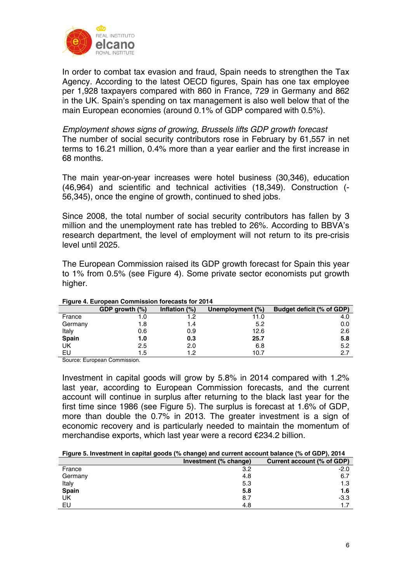

In order to combat tax evasion and fraud, Spain needs to strengthen the Tax Agency. According to the latest OECD figures, Spain has one tax employee per 1,928 taxpayers compared with 860 in France, 729 in Germany and 862 in the UK. Spain's spending on tax management is also well below that of the main European economies (around 0.1% of GDP compared with 0.5%).

*Employment shows signs of growing, Brussels lifts GDP growth forecast*  The number of social security contributors rose in February by 61,557 in net terms to 16.21 million, 0.4% more than a year earlier and the first increase in 68 months.

The main year-on-year increases were hotel business (30,346), education (46,964) and scientific and technical activities (18,349). Construction (- 56,345), once the engine of growth, continued to shed jobs.

Since 2008, the total number of social security contributors has fallen by 3 million and the unemployment rate has trebled to 26%. According to BBVA's research department, the level of employment will not return to its pre-crisis level until 2025.

The European Commission raised its GDP growth forecast for Spain this year to 1% from 0.5% (see Figure 4). Some private sector economists put growth higher.

| THURIC T. EUI ODGAIT OOITIITIISSIOIT TOI GOASLS TOI ZUTT |                |               |                  |                           |
|----------------------------------------------------------|----------------|---------------|------------------|---------------------------|
|                                                          | GDP growth (%) | Inflation (%) | Unemployment (%) | Budget deficit (% of GDP) |
| France                                                   | 1.0            | 1.2           | 11.0             | 4.0                       |
| Germany                                                  | 1.8            | 1.4           | 5.2              | 0.0                       |
| Italy                                                    | 0.6            | 0.9           | 12.6             | 2.6                       |
| <b>Spain</b>                                             | 1.0            | 0.3           | 25.7             | 5.8                       |
| UK                                                       | 2.5            | 2.0           | 6.8              | 5.2                       |
| EU                                                       | 1.5            | 1.2           | 10.7             | 2.7                       |

### **Figure 4. European Commission forecasts for 2014**

Source: European Commission.

Investment in capital goods will grow by 5.8% in 2014 compared with 1.2% last year, according to European Commission forecasts, and the current account will continue in surplus after returning to the black last year for the first time since 1986 (see Figure 5). The surplus is forecast at 1.6% of GDP, more than double the 0.7% in 2013. The greater investment is a sign of economic recovery and is particularly needed to maintain the momentum of merchandise exports, which last year were a record €234.2 billion.

#### **Figure 5. Investment in capital goods (% change) and current account balance (% of GDP), 2014**

|         | Investment (% change) | Current account (% of GDP) |
|---------|-----------------------|----------------------------|
| France  | 3.2                   | $-2.0$                     |
| Germany | 4.8                   | 6.7                        |
| Italy   | 5.3                   | 1.3                        |
| Spain   | 5.8                   | 1.6                        |
| UK      | 8.7                   | $-3.3$                     |
| EU      | 4.8                   | 1.7                        |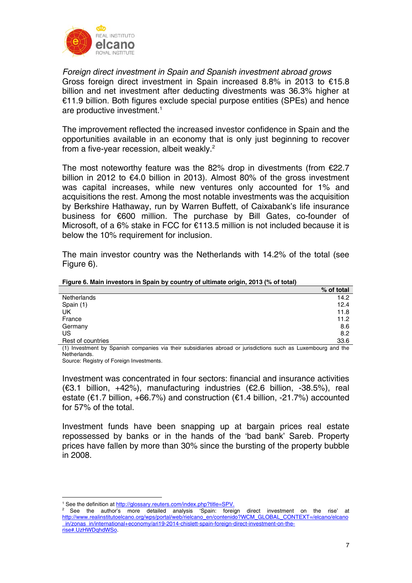

*Foreign direct investment in Spain and Spanish investment abroad grows*  Gross foreign direct investment in Spain increased 8.8% in 2013 to €15.8 billion and net investment after deducting divestments was 36.3% higher at €11.9 billion. Both figures exclude special purpose entities (SPEs) and hence are productive investment.<sup>1</sup>

The improvement reflected the increased investor confidence in Spain and the opportunities available in an economy that is only just beginning to recover from a five-year recession, albeit weakly.<sup>2</sup>

The most noteworthy feature was the 82% drop in divestments (from €22.7 billion in 2012 to €4.0 billion in 2013). Almost 80% of the gross investment was capital increases, while new ventures only accounted for 1% and acquisitions the rest. Among the most notable investments was the acquisition by Berkshire Hathaway, run by Warren Buffett, of Caixabank's life insurance business for €600 million. The purchase by Bill Gates, co-founder of Microsoft, of a 6% stake in FCC for €113.5 million is not included because it is below the 10% requirement for inclusion.

The main investor country was the Netherlands with 14.2% of the total (see Figure 6).

|                   | % of total |
|-------------------|------------|
| Netherlands       | 14.2       |
| Spain (1)         | 12.4       |
| UK                | 11.8       |
| France            | 11.2       |
| Germany           | 8.6        |
| US.               | 8.2        |
| Rest of countries | 33.6       |
| .<br>.<br>.       |            |

#### **Figure 6. Main investors in Spain by country of ultimate origin, 2013 (% of total)**

(1) Investment by Spanish companies via their subsidiaries abroad or jurisdictions such as Luxembourg and the Netherlands.

Source: Registry of Foreign Investments.

Investment was concentrated in four sectors: financial and insurance activities (€3.1 billion, +42%), manufacturing industries (€2.6 billion, -38.5%), real estate (€1.7 billion, +66.7%) and construction (€1.4 billion, -21.7%) accounted for 57% of the total.

Investment funds have been snapping up at bargain prices real estate repossessed by banks or in the hands of the 'bad bank' Sareb. Property prices have fallen by more than 30% since the bursting of the property bubble in 2008.

 1 See the definition at http://glossary.reuters.com/index.php?title=SPV.

<sup>&</sup>lt;sup>2</sup> See the author's more detailed analysis 'Spain: foreign direct investment on the rise' at http://www.realinstitutoelcano.org/wps/portal/web/rielcano\_en/contenido?WCM\_GLOBAL\_CONTEXT=/elcano/elcano \_in/zonas\_in/international+economy/ari19-2014-chislett-spain-foreign-direct-investment-on-therise#.UzHWDqhdWSo.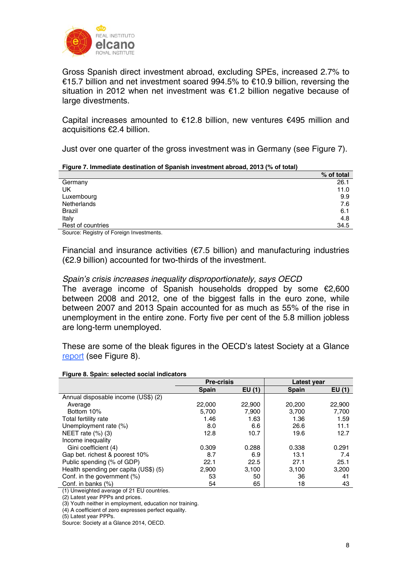

Gross Spanish direct investment abroad, excluding SPEs, increased 2.7% to €15.7 billion and net investment soared 994.5% to €10.9 billion, reversing the situation in 2012 when net investment was €1.2 billion negative because of large divestments.

Capital increases amounted to €12.8 billion, new ventures €495 million and acquisitions €2.4 billion.

Just over one quarter of the gross investment was in Germany (see Figure 7).

| <b>1 iguit 1: illimculut acstriation of opamsii investment abroad, 2010 (70 of total)</b> |            |
|-------------------------------------------------------------------------------------------|------------|
|                                                                                           | % of total |
| Germany                                                                                   | 26.1       |
| UK                                                                                        | 11.0       |
| Luxembourg                                                                                | 9.9        |
| Netherlands                                                                               | 7.6        |
| <b>Brazil</b>                                                                             | 6.1        |
| Italy                                                                                     | 4.8        |
| Rest of countries                                                                         | 34.5       |

**Figure 7. Immediate destination of Spanish investment abroad, 2013 (% of total)** 

Source: Registry of Foreign Investments.

Financial and insurance activities ( $\epsilon$ 7.5 billion) and manufacturing industries (€2.9 billion) accounted for two-thirds of the investment.

## *Spain's crisis increases inequality disproportionately, says OECD*

The average income of Spanish households dropped by some €2,600 between 2008 and 2012, one of the biggest falls in the euro zone, while between 2007 and 2013 Spain accounted for as much as 55% of the rise in unemployment in the entire zone. Forty five per cent of the 5.8 million jobless are long-term unemployed.

These are some of the bleak figures in the OECD's latest Society at a Glance report (see Figure 8).

#### **Figure 8. Spain: selected social indicators**

|                                       | <b>Pre-crisis</b> |        | Latest year  |          |
|---------------------------------------|-------------------|--------|--------------|----------|
|                                       | <b>Spain</b>      | EU(1)  | <b>Spain</b> | EU $(1)$ |
| Annual disposable income (US\$) (2)   |                   |        |              |          |
| Average                               | 22,000            | 22,900 | 20,200       | 22,900   |
| Bottom 10%                            | 5,700             | 7,900  | 3,700        | 7,700    |
| Total fertility rate                  | 1.46              | 1.63   | 1.36         | 1.59     |
| Unemployment rate (%)                 | 8.0               | 6.6    | 26.6         | 11.1     |
| NEET rate $(\%)$ (3)                  | 12.8              | 10.7   | 19.6         | 12.7     |
| Income inequality                     |                   |        |              |          |
| Gini coefficient (4)                  | 0.309             | 0.288  | 0.338        | 0.291    |
| Gap bet. richest & poorest 10%        | 8.7               | 6.9    | 13.1         | 7.4      |
| Public spending (% of GDP)            | 22.1              | 22.5   | 27.1         | 25.1     |
| Health spending per capita (US\$) (5) | 2,900             | 3,100  | 3,100        | 3,200    |
| Conf. in the government (%)           | 53                | 50     | 36           | 41       |
| Conf. in banks (%)                    | 54                | 65     | 18           | 43       |

(1) Unweighted average of 21 EU countries.

(2) Latest year PPPs and prices.

(3) Youth neither in employment, education nor training.

(4) A coefficient of zero expresses perfect equality.

(5) Latest year PPPs.

Source: Society at a Glance 2014, OECD.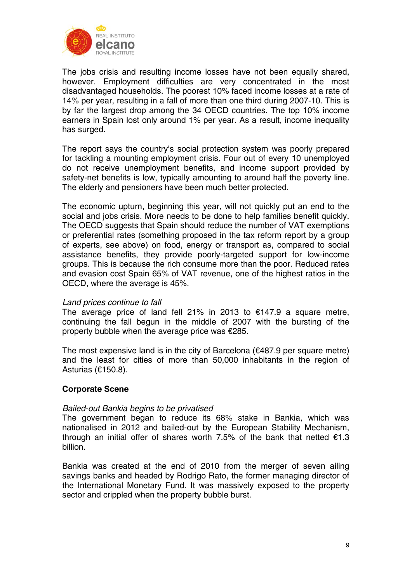

The jobs crisis and resulting income losses have not been equally shared, however. Employment difficulties are very concentrated in the most disadvantaged households. The poorest 10% faced income losses at a rate of 14% per year, resulting in a fall of more than one third during 2007-10. This is by far the largest drop among the 34 OECD countries. The top 10% income earners in Spain lost only around 1% per year. As a result, income inequality has surged.

The report says the country's social protection system was poorly prepared for tackling a mounting employment crisis. Four out of every 10 unemployed do not receive unemployment benefits, and income support provided by safety-net benefits is low, typically amounting to around half the poverty line. The elderly and pensioners have been much better protected.

The economic upturn, beginning this year, will not quickly put an end to the social and jobs crisis. More needs to be done to help families benefit quickly. The OECD suggests that Spain should reduce the number of VAT exemptions or preferential rates (something proposed in the tax reform report by a group of experts, see above) on food, energy or transport as, compared to social assistance benefits, they provide poorly-targeted support for low-income groups. This is because the rich consume more than the poor. Reduced rates and evasion cost Spain 65% of VAT revenue, one of the highest ratios in the OECD, where the average is 45%.

## *Land prices continue to fall*

The average price of land fell 21% in 2013 to  $£147.9$  a square metre, continuing the fall begun in the middle of 2007 with the bursting of the property bubble when the average price was €285.

The most expensive land is in the city of Barcelona ( $\epsilon$ 487.9 per square metre) and the least for cities of more than 50,000 inhabitants in the region of Asturias (€150.8).

## **Corporate Scene**

## *Bailed-out Bankia begins to be privatised*

The government began to reduce its 68% stake in Bankia, which was nationalised in 2012 and bailed-out by the European Stability Mechanism, through an initial offer of shares worth 7.5% of the bank that netted  $€1.3$ billion.

Bankia was created at the end of 2010 from the merger of seven ailing savings banks and headed by Rodrigo Rato, the former managing director of the International Monetary Fund. It was massively exposed to the property sector and crippled when the property bubble burst.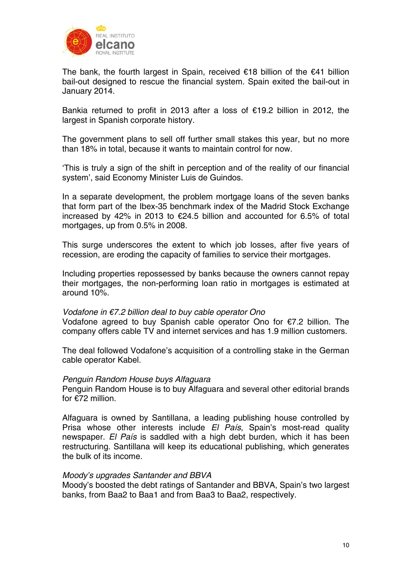

The bank, the fourth largest in Spain, received €18 billion of the €41 billion bail-out designed to rescue the financial system. Spain exited the bail-out in January 2014.

Bankia returned to profit in 2013 after a loss of €19.2 billion in 2012, the largest in Spanish corporate history.

The government plans to sell off further small stakes this year, but no more than 18% in total, because it wants to maintain control for now.

'This is truly a sign of the shift in perception and of the reality of our financial system', said Economy Minister Luis de Guindos.

In a separate development, the problem mortgage loans of the seven banks that form part of the Ibex-35 benchmark index of the Madrid Stock Exchange increased by 42% in 2013 to €24.5 billion and accounted for 6.5% of total mortgages, up from 0.5% in 2008.

This surge underscores the extent to which job losses, after five years of recession, are eroding the capacity of families to service their mortgages.

Including properties repossessed by banks because the owners cannot repay their mortgages, the non-performing loan ratio in mortgages is estimated at around 10%.

### *Vodafone in €7.2 billion deal to buy cable operator Ono*

Vodafone agreed to buy Spanish cable operator Ono for €7.2 billion. The company offers cable TV and internet services and has 1.9 million customers.

The deal followed Vodafone's acquisition of a controlling stake in the German cable operator Kabel.

### *Penguin Random House buys Alfaguara*

Penguin Random House is to buy Alfaguara and several other editorial brands for €72 million.

Alfaguara is owned by Santillana, a leading publishing house controlled by Prisa whose other interests include *El País*, Spain's most-read quality newspaper. *El País* is saddled with a high debt burden, which it has been restructuring. Santillana will keep its educational publishing, which generates the bulk of its income.

### *Moody's upgrades Santander and BBVA*

Moody's boosted the debt ratings of Santander and BBVA, Spain's two largest banks, from Baa2 to Baa1 and from Baa3 to Baa2, respectively.